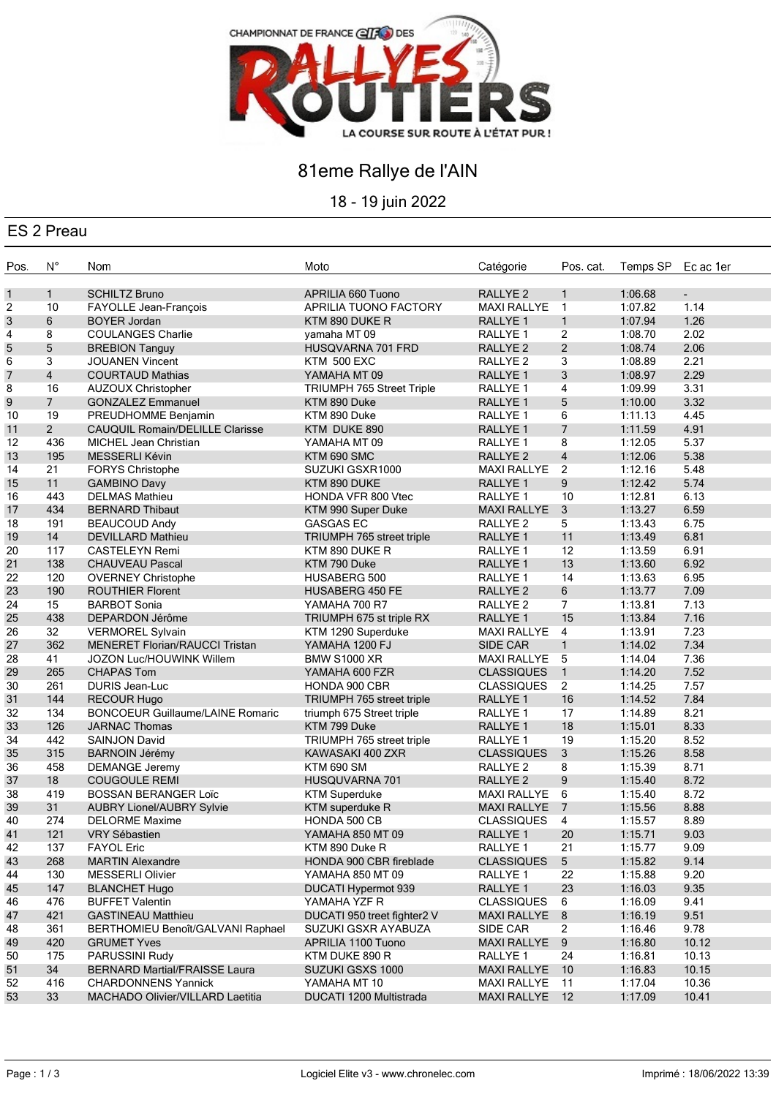

## 81eme Rallye de l'AIN

18 - 19 juin 2022

### ES 2 Preau

| Pos. | $N^{\circ}$    | Nom                                          | Moto                                   | Catégorie           | Pos. cat.       | Temps SP | Ec ac 1er |
|------|----------------|----------------------------------------------|----------------------------------------|---------------------|-----------------|----------|-----------|
| 1    | $\mathbf{1}$   | <b>SCHILTZ Bruno</b>                         | APRILIA 660 Tuono                      | RALLYE <sub>2</sub> | $\mathbf{1}$    | 1:06.68  | $\sim$    |
| 2    | 10             | FAYOLLE Jean-François                        | APRILIA TUONO FACTORY                  | <b>MAXI RALLYE</b>  | $\mathbf{1}$    | 1:07.82  | 1.14      |
| 3    | 6              | <b>BOYER Jordan</b>                          | KTM 890 DUKE R                         | <b>RALLYE 1</b>     | $\mathbf{1}$    | 1:07.94  | 1.26      |
| 4    | 8              | <b>COULANGES Charlie</b>                     | yamaha MT 09                           | RALLYE 1            | $\overline{2}$  | 1:08.70  | 2.02      |
| 5    | 5              | <b>BREBION Tanguy</b>                        | HUSQVARNA 701 FRD                      | RALLYE <sub>2</sub> | $\overline{2}$  | 1:08.74  | 2.06      |
| 6    | 3              | <b>JOUANEN Vincent</b>                       | <b>KTM 500 EXC</b>                     | RALLYE 2            | 3               | 1:08.89  | 2.21      |
| 7    | 4              | <b>COURTAUD Mathias</b>                      | YAMAHA MT 09                           | RALLYE <sub>1</sub> | $\mathbf{3}$    | 1:08.97  | 2.29      |
| 8    | 16             | <b>AUZOUX Christopher</b>                    | <b>TRIUMPH 765 Street Triple</b>       | RALLYE <sub>1</sub> | 4               | 1:09.99  | 3.31      |
| 9    | $\overline{7}$ | <b>GONZALEZ Emmanuel</b>                     | KTM 890 Duke                           | RALLYE <sub>1</sub> | 5               | 1:10.00  | 3.32      |
| 10   | 19             | PREUDHOMME Benjamin                          | KTM 890 Duke                           | RALLYE 1            | 6               | 1:11.13  | 4.45      |
| 11   | $\overline{2}$ | <b>CAUQUIL Romain/DELILLE Clarisse</b>       | KTM DUKE 890                           | <b>RALLYE 1</b>     | $\overline{7}$  | 1:11.59  | 4.91      |
| 12   | 436            | MICHEL Jean Christian                        | YAMAHA MT 09                           | RALLYE <sub>1</sub> | 8               | 1:12.05  | 5.37      |
| 13   | 195            | MESSERLI Kévin                               | KTM 690 SMC                            | RALLYE <sub>2</sub> | $\overline{4}$  | 1:12.06  | 5.38      |
| 14   | 21             | FORYS Christophe                             | SUZUKI GSXR1000                        | <b>MAXI RALLYE</b>  | $\overline{2}$  | 1:12.16  | 5.48      |
| 15   | 11             |                                              | KTM 890 DUKE                           | RALLYE <sub>1</sub> | 9               | 1:12.42  | 5.74      |
| 16   | 443            | <b>GAMBINO Davy</b><br><b>DELMAS Mathieu</b> | HONDA VFR 800 Vtec                     | RALLYE 1            | 10              | 1:12.81  | 6.13      |
|      | 434            | <b>BERNARD Thibaut</b>                       |                                        | <b>MAXI RALLYE</b>  |                 | 1:13.27  | 6.59      |
| 17   | 191            |                                              | KTM 990 Super Duke<br><b>GASGAS EC</b> | RALLYE <sub>2</sub> | 3<br>5          | 1:13.43  | 6.75      |
| 18   |                | <b>BEAUCOUD Andy</b>                         |                                        |                     |                 | 1:13.49  |           |
| 19   | 14             | <b>DEVILLARD Mathieu</b>                     | TRIUMPH 765 street triple              | RALLYE <sub>1</sub> | 11              |          | 6.81      |
| 20   | 117            | <b>CASTELEYN Remi</b>                        | KTM 890 DUKE R                         | RALLYE <sub>1</sub> | 12              | 1:13.59  | 6.91      |
| 21   | 138            | <b>CHAUVEAU Pascal</b>                       | KTM 790 Duke                           | RALLYE 1            | 13              | 1:13.60  | 6.92      |
| 22   | 120            | <b>OVERNEY Christophe</b>                    | HUSABERG 500                           | RALLYE <sub>1</sub> | 14              | 1:13.63  | 6.95      |
| 23   | 190            | <b>ROUTHIER Florent</b>                      | <b>HUSABERG 450 FE</b>                 | RALLYE <sub>2</sub> | 6               | 1:13.77  | 7.09      |
| 24   | 15             | <b>BARBOT Sonia</b>                          | YAMAHA 700 R7                          | RALLYE <sub>2</sub> | $7^{\circ}$     | 1:13.81  | 7.13      |
| 25   | 438            | DEPARDON Jérôme                              | TRIUMPH 675 st triple RX               | RALLYE 1            | 15              | 1:13.84  | 7.16      |
| 26   | 32             | <b>VERMOREL Sylvain</b>                      | KTM 1290 Superduke                     | MAXI RALLYE 4       |                 | 1:13.91  | 7.23      |
| 27   | 362            | MENERET Florian/RAUCCI Tristan               | YAMAHA 1200 FJ                         | <b>SIDE CAR</b>     | $\mathbf{1}$    | 1:14.02  | 7.34      |
| 28   | 41             | JOZON Luc/HOUWINK Willem                     | <b>BMW S1000 XR</b>                    | MAXI RALLYE 5       |                 | 1:14.04  | 7.36      |
| 29   | 265            | <b>CHAPAS Tom</b>                            | YAMAHA 600 FZR                         | <b>CLASSIQUES</b>   | $\mathbf{1}$    | 1:14.20  | 7.52      |
| 30   | 261            | DURIS Jean-Luc                               | HONDA 900 CBR                          | <b>CLASSIQUES</b>   | $\overline{2}$  | 1:14.25  | 7.57      |
| 31   | 144            | <b>RECOUR Hugo</b>                           | TRIUMPH 765 street triple              | RALLYE 1            | 16              | 1:14.52  | 7.84      |
| 32   | 134            | <b>BONCOEUR Guillaume/LAINE Romaric</b>      | triumph 675 Street triple              | RALLYE 1            | 17              | 1:14.89  | 8.21      |
| 33   | 126            | <b>JARNAC Thomas</b>                         | KTM 799 Duke                           | RALLYE 1            | 18              | 1:15.01  | 8.33      |
| 34   | 442            | SAINJON David                                | TRIUMPH 765 street triple              | RALLYE <sub>1</sub> | 19              | 1:15.20  | 8.52      |
| 35   | 315            | <b>BARNOIN Jérémy</b>                        | KAWASAKI 400 ZXR                       | <b>CLASSIQUES</b>   | $\mathbf{3}$    | 1:15.26  | 8.58      |
| 36   | 458            | <b>DEMANGE Jeremy</b>                        | <b>KTM 690 SM</b>                      | RALLYE <sub>2</sub> | 8               | 1:15.39  | 8.71      |
| 37   | 18             | <b>COUGOULE REMI</b>                         | HUSQUVARNA 701                         | RALLYE <sub>2</sub> | 9               | 1:15.40  | 8.72      |
| 38   | 419            | <b>BOSSAN BERANGER Loïc</b>                  | <b>KTM Superduke</b>                   | MAXI RALLYE 6       |                 | 1:15.40  | 8.72      |
| 39   | 31             | <b>AUBRY Lionel/AUBRY Sylvie</b>             | KTM superduke R                        | <b>MAXI RALLYE</b>  | $\overline{7}$  | 1:15.56  | 8.88      |
| 40   | 274            | <b>DELORME Maxime</b>                        | HONDA 500 CB                           | <b>CLASSIQUES</b>   | $\overline{4}$  | 1:15.57  | 8.89      |
| 41   | 121            | VRY Sébastien                                | YAMAHA 850 MT 09                       | RALLYE 1            | 20              | 1:15.71  | 9.03      |
| 42   | 137            | <b>FAYOL Eric</b>                            | KTM 890 Duke R                         | RALLYE 1            | 21              | 1:15.77  | 9.09      |
| 43   | 268            | <b>MARTIN Alexandre</b>                      | HONDA 900 CBR fireblade                | <b>CLASSIQUES</b>   | $5\overline{)}$ | 1:15.82  | 9.14      |
| 44   | 130            | <b>MESSERLI Olivier</b>                      | YAMAHA 850 MT 09                       | RALLYE 1            | 22              | 1:15.88  | 9.20      |
| 45   | 147            | <b>BLANCHET Hugo</b>                         | DUCATI Hypermot 939                    | RALLYE 1            | 23              | 1:16.03  | 9.35      |
| 46   | 476            | <b>BUFFET Valentin</b>                       | YAMAHA YZF R                           | <b>CLASSIQUES</b>   | 6               | 1:16.09  | 9.41      |
| 47   | 421            | <b>GASTINEAU Matthieu</b>                    | DUCATI 950 treet fighter2 V            | <b>MAXI RALLYE</b>  | 8               | 1:16.19  | 9.51      |
| 48   | 361            | BERTHOMIEU Benoît/GALVANI Raphael            | SUZUKI GSXR AYABUZA                    | SIDE CAR            | $\overline{2}$  | 1:16.46  | 9.78      |
| 49   | 420            | <b>GRUMET Yves</b>                           | APRILIA 1100 Tuono                     | <b>MAXI RALLYE</b>  | 9               | 1:16.80  | 10.12     |
| 50   | 175            | PARUSSINI Rudy                               | KTM DUKE 890 R                         | RALLYE 1            | 24              | 1:16.81  | 10.13     |
| 51   | 34             | <b>BERNARD Martial/FRAISSE Laura</b>         | SUZUKI GSXS 1000                       | <b>MAXI RALLYE</b>  | 10              | 1:16.83  | 10.15     |
| 52   | 416            | <b>CHARDONNENS Yannick</b>                   | YAMAHA MT 10                           | <b>MAXI RALLYE</b>  | 11              | 1:17.04  | 10.36     |
| 53   | 33             | MACHADO Olivier/VILLARD Laetitia             | DUCATI 1200 Multistrada                | MAXI RALLYE 12      |                 | 1:17.09  | 10.41     |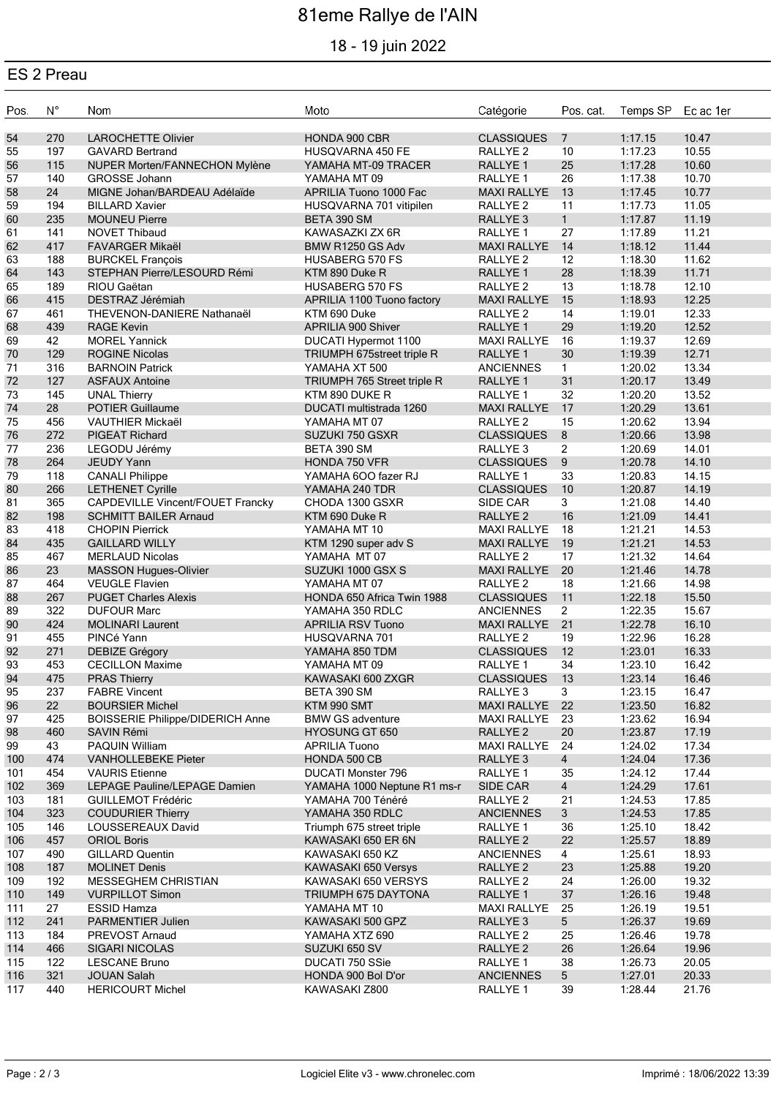# 81eme Rallye de l'AIN

### 18 - 19 juin 2022

#### ES 2 Preau

| Pos.       | $N^{\circ}$ | Nom                                                       | Moto                                             | Catégorie                                | Pos. cat.            | Temps SP Ec ac 1er |                |
|------------|-------------|-----------------------------------------------------------|--------------------------------------------------|------------------------------------------|----------------------|--------------------|----------------|
| 54         | 270         | <b>LAROCHETTE Olivier</b>                                 | HONDA 900 CBR                                    | <b>CLASSIQUES</b>                        | $\overline{7}$       | 1:17.15            | 10.47          |
| 55         | 197         | <b>GAVARD Bertrand</b>                                    | HUSQVARNA 450 FE                                 | RALLYE <sub>2</sub>                      | 10                   | 1:17.23            | 10.55          |
| 56         | 115         | NUPER Morten/FANNECHON Mylène                             | YAMAHA MT-09 TRACER                              | RALLYE 1                                 | 25                   | 1:17.28            | 10.60          |
| 57         | 140         | <b>GROSSE Johann</b>                                      | YAMAHA MT 09                                     | RALLYE 1                                 | 26                   | 1:17.38            | 10.70          |
| 58         | 24          | MIGNE Johan/BARDEAU Adélaïde                              | APRILIA Tuono 1000 Fac                           | <b>MAXI RALLYE</b>                       | 13                   | 1:17.45            | 10.77          |
| 59         | 194         | <b>BILLARD Xavier</b>                                     | HUSQVARNA 701 vitipilen                          | RALLYE <sub>2</sub>                      | 11                   | 1:17.73            | 11.05          |
| 60         | 235         | <b>MOUNEU Pierre</b>                                      | BETA 390 SM                                      | RALLYE <sub>3</sub>                      | $\mathbf{1}$         | 1:17.87            | 11.19          |
| 61         | 141         | <b>NOVET Thibaud</b>                                      | KAWASAZKI ZX 6R                                  | RALLYE <sub>1</sub>                      | 27                   | 1:17.89            | 11.21          |
| 62         | 417         | <b>FAVARGER Mikaël</b>                                    | BMW R1250 GS Adv                                 | <b>MAXI RALLYE</b>                       | 14                   | 1:18.12            | 11.44          |
| 63         | 188         | <b>BURCKEL François</b>                                   | <b>HUSABERG 570 FS</b>                           | RALLYE <sub>2</sub>                      | 12                   | 1:18.30            | 11.62          |
| 64         | 143         | STEPHAN Pierre/LESOURD Rémi                               | KTM 890 Duke R                                   | RALLYE <sub>1</sub>                      | 28                   | 1:18.39            | 11.71          |
| 65         | 189         | RIOU Gaëtan                                               | <b>HUSABERG 570 FS</b>                           | RALLYE <sub>2</sub>                      | 13                   | 1:18.78            | 12.10          |
| 66         | 415         | DESTRAZ Jérémiah                                          | APRILIA 1100 Tuono factory                       | <b>MAXI RALLYE</b>                       | 15                   | 1:18.93            | 12.25          |
| 67         | 461         | THEVENON-DANIERE Nathanaël                                | KTM 690 Duke                                     | RALLYE 2                                 | 14                   | 1:19.01            | 12.33          |
| 68         | 439         | <b>RAGE Kevin</b>                                         | APRILIA 900 Shiver                               | RALLYE 1                                 | 29                   | 1:19.20            | 12.52          |
| 69         | 42          | <b>MOREL Yannick</b>                                      | DUCATI Hypermot 1100                             | <b>MAXI RALLYE</b>                       | 16                   | 1:19.37            | 12.69          |
| 70         | 129         | <b>ROGINE Nicolas</b>                                     | TRIUMPH 675street triple R                       | RALLYE <sub>1</sub>                      | 30                   | 1:19.39            | 12.71          |
| 71         | 316         | <b>BARNOIN Patrick</b>                                    | YAMAHA XT 500                                    | <b>ANCIENNES</b>                         | $\mathbf{1}$         | 1:20.02            | 13.34          |
| 72         | 127         | <b>ASFAUX Antoine</b>                                     | TRIUMPH 765 Street triple R                      | RALLYE <sub>1</sub>                      | 31                   | 1:20.17            | 13.49          |
| 73         | 145         | <b>UNAL Thierry</b>                                       | KTM 890 DUKE R                                   | RALLYE 1                                 | 32                   | 1:20.20            | 13.52          |
| 74         | 28          | <b>POTIER Guillaume</b>                                   | DUCATI multistrada 1260                          | <b>MAXI RALLYE</b>                       | 17                   | 1:20.29            | 13.61          |
| 75         | 456<br>272  | <b>VAUTHIER Mickaël</b><br>PIGEAT Richard                 | YAMAHA MT 07                                     | RALLYE <sub>2</sub>                      | 15<br>$8\phantom{1}$ | 1:20.62            | 13.94<br>13.98 |
| 76<br>77   | 236         |                                                           | SUZUKI 750 GSXR<br>BETA 390 SM                   | <b>CLASSIQUES</b><br>RALLYE <sub>3</sub> | $\overline{2}$       | 1:20.66<br>1:20.69 | 14.01          |
| 78         | 264         | LEGODU Jérémy<br>JEUDY Yann                               | HONDA 750 VFR                                    | <b>CLASSIQUES</b>                        | 9                    | 1:20.78            | 14.10          |
| 79         | 118         | <b>CANALI Philippe</b>                                    | YAMAHA 6OO fazer RJ                              | RALLYE 1                                 | 33                   | 1:20.83            | 14.15          |
| 80         | 266         | <b>LETHENET Cyrille</b>                                   | YAMAHA 240 TDR                                   | <b>CLASSIQUES</b>                        | 10                   | 1:20.87            | 14.19          |
| 81         | 365         | CAPDEVILLE Vincent/FOUET Francky                          | CHODA 1300 GSXR                                  | SIDE CAR                                 | 3                    | 1:21.08            | 14.40          |
| 82         | 198         | <b>SCHMITT BAILER Arnaud</b>                              | KTM 690 Duke R                                   | RALLYE <sub>2</sub>                      | 16                   | 1:21.09            | 14.41          |
| 83         | 418         | <b>CHOPIN Pierrick</b>                                    | YAMAHA MT 10                                     | <b>MAXI RALLYE</b>                       | 18                   | 1:21.21            | 14.53          |
| 84         | 435         | <b>GAILLARD WILLY</b>                                     | KTM 1290 super adv S                             | <b>MAXI RALLYE</b>                       | 19                   | 1:21.21            | 14.53          |
| 85         | 467         | <b>MERLAUD Nicolas</b>                                    | YAMAHA MT 07                                     | RALLYE <sub>2</sub>                      | 17                   | 1:21.32            | 14.64          |
| 86         | 23          | <b>MASSON Hugues-Olivier</b>                              | SUZUKI 1000 GSX S                                | <b>MAXI RALLYE</b>                       | 20                   | 1:21.46            | 14.78          |
| 87         | 464         | <b>VEUGLE Flavien</b>                                     | YAMAHA MT 07                                     | RALLYE <sub>2</sub>                      | 18                   | 1:21.66            | 14.98          |
| 88         | 267         | <b>PUGET Charles Alexis</b>                               | HONDA 650 Africa Twin 1988                       | <b>CLASSIQUES</b>                        | 11                   | 1:22.18            | 15.50          |
| 89         | 322         | <b>DUFOUR Marc</b>                                        | YAMAHA 350 RDLC                                  | <b>ANCIENNES</b>                         | $2^{\circ}$          | 1:22.35            | 15.67          |
| 90         | 424         | <b>MOLINARI Laurent</b>                                   | <b>APRILIA RSV Tuono</b>                         | <b>MAXI RALLYE</b>                       | 21                   | 1:22.78            | 16.10          |
| 91         | 455         | PINCé Yann                                                | HUSQVARNA 701                                    | RALLYE <sub>2</sub>                      | 19                   | 1:22.96            | 16.28          |
| 92         | 271         | DEBIZE Grégory                                            | YAMAHA 850 TDM                                   | <b>CLASSIQUES</b>                        | 12                   | 1:23.01            | 16.33          |
| 93         | 453         | <b>CECILLON Maxime</b>                                    | YAMAHA MT 09                                     | RALLYE 1                                 | 34                   | 1:23.10            | 16.42          |
| 94         | 475         | <b>PRAS Thierry</b>                                       | KAWASAKI 600 ZXGR                                | <b>CLASSIQUES</b>                        | 13                   | 1:23.14            | 16.46          |
| 95         | 237         | <b>FABRE Vincent</b>                                      | BETA 390 SM                                      | RALLYE <sub>3</sub>                      | 3                    | 1:23.15            | 16.47          |
| 96         | 22          | <b>BOURSIER Michel</b>                                    | KTM 990 SMT                                      | <b>MAXI RALLYE</b>                       | 22                   | 1:23.50            | 16.82          |
| 97         | 425         | <b>BOISSERIE Philippe/DIDERICH Anne</b>                   | <b>BMW GS adventure</b>                          | <b>MAXI RALLYE</b>                       | 23                   | 1:23.62            | 16.94          |
| 98         | 460         | SAVIN Rémi                                                | <b>HYOSUNG GT 650</b>                            | RALLYE <sub>2</sub>                      | 20                   | 1:23.87            | 17.19          |
| 99         | 43          | PAQUIN William                                            | <b>APRILIA Tuono</b>                             | <b>MAXI RALLYE</b>                       | 24                   | 1:24.02            | 17.34          |
| 100        | 474         | <b>VANHOLLEBEKE Pieter</b>                                | HONDA 500 CB                                     | RALLYE <sub>3</sub>                      | $\overline{4}$       | 1:24.04            | 17.36          |
| 101        | 454<br>369  | <b>VAURIS</b> Etienne                                     | DUCATI Monster 796                               | RALLYE 1                                 | 35<br>$\overline{4}$ | 1:24.12<br>1:24.29 | 17.44          |
| 102<br>103 | 181         | LEPAGE Pauline/LEPAGE Damien<br><b>GUILLEMOT Frédéric</b> | YAMAHA 1000 Neptune R1 ms-r<br>YAMAHA 700 Ténéré | SIDE CAR<br>RALLYE <sub>2</sub>          | 21                   | 1:24.53            | 17.61<br>17.85 |
| 104        | 323         | <b>COUDURIER Thierry</b>                                  | YAMAHA 350 RDLC                                  | <b>ANCIENNES</b>                         | 3                    | 1:24.53            | 17.85          |
| 105        | 146         | LOUSSEREAUX David                                         | Triumph 675 street triple                        | RALLYE 1                                 | 36                   | 1:25.10            | 18.42          |
| 106        | 457         | <b>ORIOL Boris</b>                                        | KAWASAKI 650 ER 6N                               | RALLYE <sub>2</sub>                      | 22                   | 1:25.57            | 18.89          |
| 107        | 490         | <b>GILLARD Quentin</b>                                    | KAWASAKI 650 KZ                                  | <b>ANCIENNES</b>                         | $\overline{4}$       | 1:25.61            | 18.93          |
| 108        | 187         | <b>MOLINET Denis</b>                                      | KAWASAKI 650 Versys                              | RALLYE <sub>2</sub>                      | 23                   | 1:25.88            | 19.20          |
| 109        | 192         | MESSEGHEM CHRISTIAN                                       | KAWASAKI 650 VERSYS                              | RALLYE 2                                 | 24                   | 1:26.00            | 19.32          |
| 110        | 149         | <b>VURPILLOT Simon</b>                                    | TRIUMPH 675 DAYTONA                              | RALLYE 1                                 | 37                   | 1:26.16            | 19.48          |
| 111        | 27          | <b>ESSID Hamza</b>                                        | YAMAHA MT 10                                     | <b>MAXI RALLYE</b>                       | 25                   | 1:26.19            | 19.51          |
| 112        | 241         | PARMENTIER Julien                                         | KAWASAKI 500 GPZ                                 | RALLYE <sub>3</sub>                      | $5\phantom{.0}$      | 1:26.37            | 19.69          |
| 113        | 184         | PREVOST Arnaud                                            | YAMAHA XTZ 690                                   | RALLYE <sub>2</sub>                      | 25                   | 1:26.46            | 19.78          |
| 114        | 466         | <b>SIGARI NICOLAS</b>                                     | SUZUKI 650 SV                                    | RALLYE <sub>2</sub>                      | 26                   | 1:26.64            | 19.96          |
| 115        | 122         | <b>LESCANE Bruno</b>                                      | DUCATI 750 SSie                                  | RALLYE 1                                 | 38                   | 1:26.73            | 20.05          |
| 116        | 321         | <b>JOUAN Salah</b>                                        | HONDA 900 Bol D'or                               | <b>ANCIENNES</b>                         | 5                    | 1:27.01            | 20.33          |
| 117        | 440         | <b>HERICOURT Michel</b>                                   | KAWASAKI Z800                                    | RALLYE 1                                 | 39                   | 1:28.44            | 21.76          |